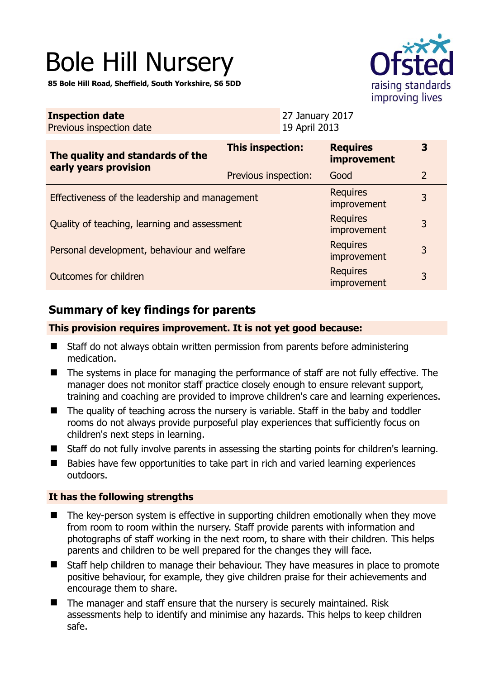# Bole Hill Nursery

**85 Bole Hill Road, Sheffield, South Yorkshire, S6 5DD** 



| <b>Inspection date</b><br>Previous inspection date        | 27 January 2017<br>19 April 2013 |                                       |                |
|-----------------------------------------------------------|----------------------------------|---------------------------------------|----------------|
| The quality and standards of the<br>early years provision | <b>This inspection:</b>          | <b>Requires</b><br><b>improvement</b> | 3              |
|                                                           | Previous inspection:             | Good                                  | $\overline{2}$ |
| Effectiveness of the leadership and management            |                                  | <b>Requires</b><br>improvement        | 3              |
| Quality of teaching, learning and assessment              |                                  | <b>Requires</b><br><i>improvement</i> | 3              |
| Personal development, behaviour and welfare               |                                  | <b>Requires</b><br>improvement        | 3              |
| Outcomes for children                                     |                                  | <b>Requires</b><br>improvement        | 3              |

## **Summary of key findings for parents**

#### **This provision requires improvement. It is not yet good because:**

- Staff do not always obtain written permission from parents before administering medication.
- The systems in place for managing the performance of staff are not fully effective. The manager does not monitor staff practice closely enough to ensure relevant support, training and coaching are provided to improve children's care and learning experiences.
- The quality of teaching across the nursery is variable. Staff in the baby and toddler rooms do not always provide purposeful play experiences that sufficiently focus on children's next steps in learning.
- Staff do not fully involve parents in assessing the starting points for children's learning.
- Babies have few opportunities to take part in rich and varied learning experiences outdoors.

#### **It has the following strengths**

- The key-person system is effective in supporting children emotionally when they move from room to room within the nursery. Staff provide parents with information and photographs of staff working in the next room, to share with their children. This helps parents and children to be well prepared for the changes they will face.
- Staff help children to manage their behaviour. They have measures in place to promote positive behaviour, for example, they give children praise for their achievements and encourage them to share.
- The manager and staff ensure that the nursery is securely maintained. Risk assessments help to identify and minimise any hazards. This helps to keep children safe.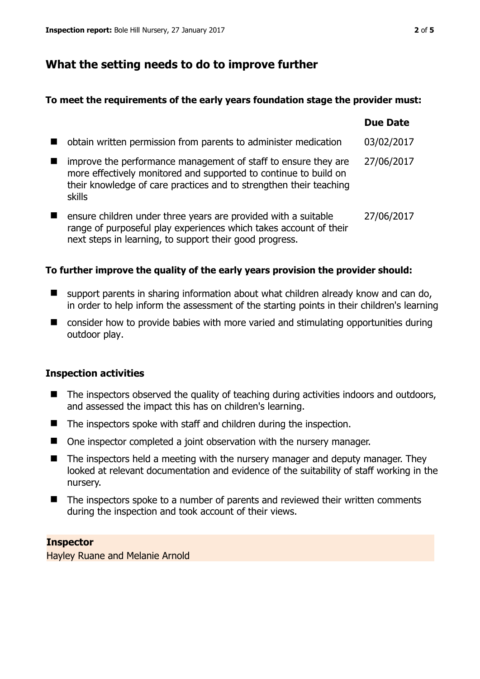## **What the setting needs to do to improve further**

#### **To meet the requirements of the early years foundation stage the provider must:**

|                                                                                                                                                                                                                    | <b>Due Date</b> |
|--------------------------------------------------------------------------------------------------------------------------------------------------------------------------------------------------------------------|-----------------|
| obtain written permission from parents to administer medication                                                                                                                                                    | 03/02/2017      |
| improve the performance management of staff to ensure they are<br>more effectively monitored and supported to continue to build on<br>their knowledge of care practices and to strengthen their teaching<br>skills | 27/06/2017      |
| ensure children under three years are provided with a suitable<br>range of purposeful play experiences which takes account of their<br>next steps in learning, to support their good progress.                     | 27/06/2017      |

#### **To further improve the quality of the early years provision the provider should:**

- support parents in sharing information about what children already know and can do, in order to help inform the assessment of the starting points in their children's learning
- consider how to provide babies with more varied and stimulating opportunities during outdoor play.

#### **Inspection activities**

- The inspectors observed the quality of teaching during activities indoors and outdoors, and assessed the impact this has on children's learning.
- The inspectors spoke with staff and children during the inspection.
- One inspector completed a joint observation with the nursery manager.
- $\blacksquare$  The inspectors held a meeting with the nursery manager and deputy manager. They looked at relevant documentation and evidence of the suitability of staff working in the nursery.
- The inspectors spoke to a number of parents and reviewed their written comments during the inspection and took account of their views.

#### **Inspector**

Hayley Ruane and Melanie Arnold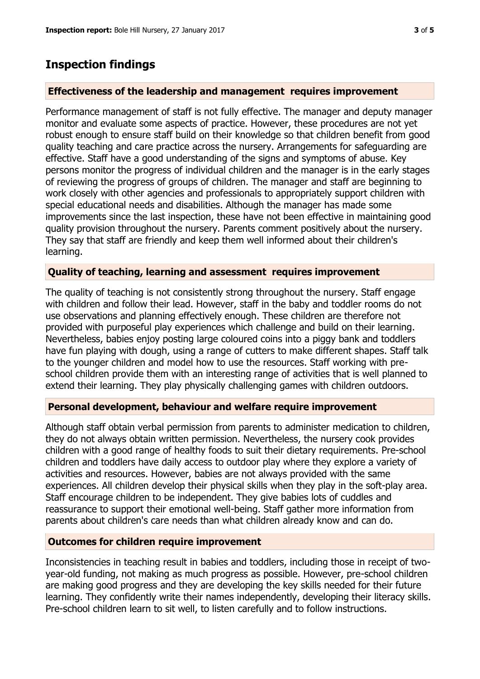## **Inspection findings**

#### **Effectiveness of the leadership and management requires improvement**

Performance management of staff is not fully effective. The manager and deputy manager monitor and evaluate some aspects of practice. However, these procedures are not yet robust enough to ensure staff build on their knowledge so that children benefit from good quality teaching and care practice across the nursery. Arrangements for safeguarding are effective. Staff have a good understanding of the signs and symptoms of abuse. Key persons monitor the progress of individual children and the manager is in the early stages of reviewing the progress of groups of children. The manager and staff are beginning to work closely with other agencies and professionals to appropriately support children with special educational needs and disabilities. Although the manager has made some improvements since the last inspection, these have not been effective in maintaining good quality provision throughout the nursery. Parents comment positively about the nursery. They say that staff are friendly and keep them well informed about their children's learning.

#### **Quality of teaching, learning and assessment requires improvement**

The quality of teaching is not consistently strong throughout the nursery. Staff engage with children and follow their lead. However, staff in the baby and toddler rooms do not use observations and planning effectively enough. These children are therefore not provided with purposeful play experiences which challenge and build on their learning. Nevertheless, babies enjoy posting large coloured coins into a piggy bank and toddlers have fun playing with dough, using a range of cutters to make different shapes. Staff talk to the younger children and model how to use the resources. Staff working with preschool children provide them with an interesting range of activities that is well planned to extend their learning. They play physically challenging games with children outdoors.

#### **Personal development, behaviour and welfare require improvement**

Although staff obtain verbal permission from parents to administer medication to children, they do not always obtain written permission. Nevertheless, the nursery cook provides children with a good range of healthy foods to suit their dietary requirements. Pre-school children and toddlers have daily access to outdoor play where they explore a variety of activities and resources. However, babies are not always provided with the same experiences. All children develop their physical skills when they play in the soft-play area. Staff encourage children to be independent. They give babies lots of cuddles and reassurance to support their emotional well-being. Staff gather more information from parents about children's care needs than what children already know and can do.

#### **Outcomes for children require improvement**

Inconsistencies in teaching result in babies and toddlers, including those in receipt of twoyear-old funding, not making as much progress as possible. However, pre-school children are making good progress and they are developing the key skills needed for their future learning. They confidently write their names independently, developing their literacy skills. Pre-school children learn to sit well, to listen carefully and to follow instructions.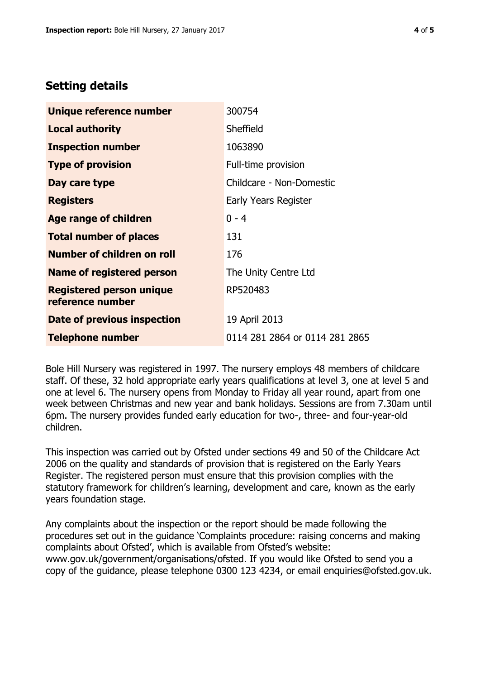### **Setting details**

| Unique reference number                             | 300754                         |
|-----------------------------------------------------|--------------------------------|
| <b>Local authority</b>                              | Sheffield                      |
| <b>Inspection number</b>                            | 1063890                        |
| <b>Type of provision</b>                            | Full-time provision            |
| Day care type                                       | Childcare - Non-Domestic       |
| <b>Registers</b>                                    | Early Years Register           |
| Age range of children                               | $0 - 4$                        |
| <b>Total number of places</b>                       | 131                            |
| Number of children on roll                          | 176                            |
| <b>Name of registered person</b>                    | The Unity Centre Ltd           |
| <b>Registered person unique</b><br>reference number | RP520483                       |
| Date of previous inspection                         | 19 April 2013                  |
| <b>Telephone number</b>                             | 0114 281 2864 or 0114 281 2865 |

Bole Hill Nursery was registered in 1997. The nursery employs 48 members of childcare staff. Of these, 32 hold appropriate early years qualifications at level 3, one at level 5 and one at level 6. The nursery opens from Monday to Friday all year round, apart from one week between Christmas and new year and bank holidays. Sessions are from 7.30am until 6pm. The nursery provides funded early education for two-, three- and four-year-old children.

This inspection was carried out by Ofsted under sections 49 and 50 of the Childcare Act 2006 on the quality and standards of provision that is registered on the Early Years Register. The registered person must ensure that this provision complies with the statutory framework for children's learning, development and care, known as the early years foundation stage.

Any complaints about the inspection or the report should be made following the procedures set out in the guidance 'Complaints procedure: raising concerns and making complaints about Ofsted', which is available from Ofsted's website: www.gov.uk/government/organisations/ofsted. If you would like Ofsted to send you a copy of the guidance, please telephone 0300 123 4234, or email enquiries@ofsted.gov.uk.